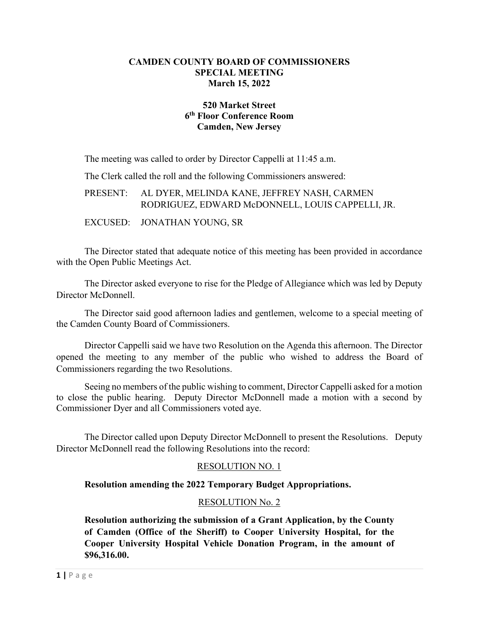## **CAMDEN COUNTY BOARD OF COMMISSIONERS SPECIAL MEETING March 15, 2022**

## **520 Market Street 6th Floor Conference Room Camden, New Jersey**

The meeting was called to order by Director Cappelli at 11:45 a.m.

The Clerk called the roll and the following Commissioners answered:

PRESENT: AL DYER, MELINDA KANE, JEFFREY NASH, CARMEN RODRIGUEZ, EDWARD McDONNELL, LOUIS CAPPELLI, JR.

EXCUSED: JONATHAN YOUNG, SR

The Director stated that adequate notice of this meeting has been provided in accordance with the Open Public Meetings Act.

The Director asked everyone to rise for the Pledge of Allegiance which was led by Deputy Director McDonnell.

The Director said good afternoon ladies and gentlemen, welcome to a special meeting of the Camden County Board of Commissioners.

Director Cappelli said we have two Resolution on the Agenda this afternoon. The Director opened the meeting to any member of the public who wished to address the Board of Commissioners regarding the two Resolutions.

Seeing no members of the public wishing to comment, Director Cappelli asked for a motion to close the public hearing. Deputy Director McDonnell made a motion with a second by Commissioner Dyer and all Commissioners voted aye.

The Director called upon Deputy Director McDonnell to present the Resolutions. Deputy Director McDonnell read the following Resolutions into the record:

# RESOLUTION NO. 1

## **Resolution amending the 2022 Temporary Budget Appropriations.**

#### RESOLUTION No. 2

**Resolution authorizing the submission of a Grant Application, by the County of Camden (Office of the Sheriff) to Cooper University Hospital, for the Cooper University Hospital Vehicle Donation Program, in the amount of \$96,316.00.**